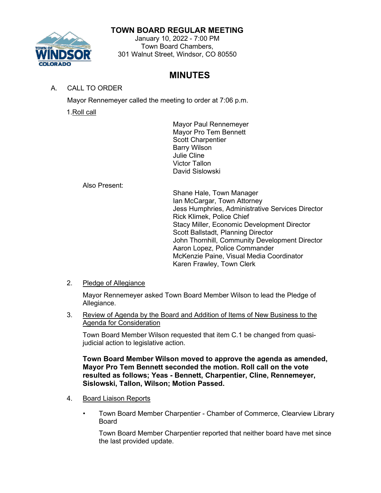### **TOWN BOARD REGULAR MEETING**



#### January 10, 2022 - 7:00 PM Town Board Chambers, 301 Walnut Street, Windsor, CO 80550

## **MINUTES**

A. CALL TO ORDER

Mayor Rennemeyer called the meeting to order at 7:06 p.m.

1.Roll call

Mayor Paul Rennemeyer Mayor Pro Tem Bennett Scott Charpentier Barry Wilson Julie Cline Victor Tallon David Sislowski

Also Present:

Shane Hale, Town Manager Ian McCargar, Town Attorney Jess Humphries, Administrative Services Director Rick Klimek, Police Chief Stacy Miller, Economic Development Director Scott Ballstadt, Planning Director John Thornhill, Community Development Director Aaron Lopez, Police Commander McKenzie Paine, Visual Media Coordinator Karen Frawley, Town Clerk

2. Pledge of Allegiance

Mayor Rennemeyer asked Town Board Member Wilson to lead the Pledge of Allegiance.

3. Review of Agenda by the Board and Addition of Items of New Business to the Agenda for Consideration

Town Board Member Wilson requested that item C.1 be changed from quasijudicial action to legislative action.

**Town Board Member Wilson moved to approve the agenda as amended, Mayor Pro Tem Bennett seconded the motion. Roll call on the vote resulted as follows; Yeas - Bennett, Charpentier, Cline, Rennemeyer, Sislowski, Tallon, Wilson; Motion Passed.**

- 4. Board Liaison Reports
	- Town Board Member Charpentier Chamber of Commerce, Clearview Library Board

Town Board Member Charpentier reported that neither board have met since the last provided update.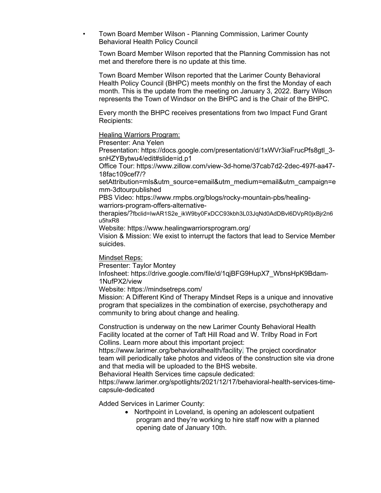• Town Board Member Wilson - Planning Commission, Larimer County Behavioral Health Policy Council

Town Board Member Wilson reported that the Planning Commission has not met and therefore there is no update at this time.

Town Board Member Wilson reported that the Larimer County Behavioral Health Policy Council (BHPC) meets monthly on the first the Monday of each month. This is the update from the meeting on January 3, 2022. Barry Wilson represents the Town of Windsor on the BHPC and is the Chair of the BHPC.

Every month the BHPC receives presentations from two Impact Fund Grant Recipients:

#### Healing Warriors Program:

Presenter: Ana Yelen [Presentation: https://docs.google.com/presentation/d/1xWVr3iaFrucPfs8gtl\\_3](https://docs.google.com/presentation/d/1xWVr3iaFrucPfs8gtl_3-snHZYBytwu4/edit#slide=id.p1) [snHZYBytwu4/edit#slide=id.p1](https://docs.google.com/presentation/d/1xWVr3iaFrucPfs8gtl_3-snHZYBytwu4/edit#slide=id.p1) [Office Tour: https://www.zillow.com/view-3d-home/37cab7d2-2dec-497f-aa47-](https://www.zillow.com/view-3d-home/37cab7d2-2dec-497f-aa47-18fac109cef7/?setAttribution=mls&utm_source=email&utm_medium=email&utm_campaign=emm-3dtourpublished) [18fac109cef7/?](https://www.zillow.com/view-3d-home/37cab7d2-2dec-497f-aa47-18fac109cef7/?setAttribution=mls&utm_source=email&utm_medium=email&utm_campaign=emm-3dtourpublished) [setAttribution=mls&utm\\_source=email&utm\\_medium=email&utm\\_campaign=e](https://www.zillow.com/view-3d-home/37cab7d2-2dec-497f-aa47-18fac109cef7/?setAttribution=mls&utm_source=email&utm_medium=email&utm_campaign=emm-3dtourpublished) [mm-3dtourpublished](https://www.zillow.com/view-3d-home/37cab7d2-2dec-497f-aa47-18fac109cef7/?setAttribution=mls&utm_source=email&utm_medium=email&utm_campaign=emm-3dtourpublished) [PBS Video: https://www.rmpbs.org/blogs/rocky-mountain-pbs/healing](https://www.rmpbs.org/blogs/rocky-mountain-pbs/healing-warriors-program-offers-alternative-therapies/?fbclid=IwAR1S2e_ikW9by0FxDCC93kbh3L03JqNd0AdDBvl6DVpR0jxBjr2n6u5hxR8)[warriors-program-offers-alternative](https://www.rmpbs.org/blogs/rocky-mountain-pbs/healing-warriors-program-offers-alternative-therapies/?fbclid=IwAR1S2e_ikW9by0FxDCC93kbh3L03JqNd0AdDBvl6DVpR0jxBjr2n6u5hxR8)[therapies/?fbclid=IwAR1S2e\\_ikW9by0FxDCC93kbh3L03JqNd0AdDBvl6DVpR0jxBjr2n6](https://www.rmpbs.org/blogs/rocky-mountain-pbs/healing-warriors-program-offers-alternative-therapies/?fbclid=IwAR1S2e_ikW9by0FxDCC93kbh3L03JqNd0AdDBvl6DVpR0jxBjr2n6u5hxR8) [u5hxR8](https://www.rmpbs.org/blogs/rocky-mountain-pbs/healing-warriors-program-offers-alternative-therapies/?fbclid=IwAR1S2e_ikW9by0FxDCC93kbh3L03JqNd0AdDBvl6DVpR0jxBjr2n6u5hxR8) Website:<https://www.healingwarriorsprogram.org/> Vision & Mission: We exist to interrupt the factors that lead to Service Member

suicides.

Mindset Reps:

Presenter: Taylor Montey

[Infosheet: https://drive.google.com/file/d/1qjBFG9HupX7\\_WbnsHpK9Bdam-](https://drive.google.com/file/d/1qjBFG9HupX7_WbnsHpK9Bdam-1NufPX2/view)[1NufPX2/view](https://drive.google.com/file/d/1qjBFG9HupX7_WbnsHpK9Bdam-1NufPX2/view)

Website:<https://mindsetreps.com/>

Mission: A Different Kind of Therapy Mindset Reps is a unique and innovative program that specializes in the combination of exercise, psychotherapy and community to bring about change and healing.

Construction is underway on the new Larimer County Behavioral Health Facility located at the corner of Taft Hill Road and W. Trilby Road in Fort Collins. Learn more about this important project:

[https://www.larimer.org/behavioralhealth/facility.](https://www.larimer.org/behavioralhealth/facility) The project coordinator team will periodically take photos and videos of the construction site via drone and that media will be uploaded to the BHS website.

Behavioral Health Services time capsule [dedicated:](https://www.larimer.org/spotlights/2021/12/17/behavioral-health-services-time-capsule-dedicated) 

[https://www.larimer.org/spotlights/2021/12/17/behavioral-health-services-time](https://www.larimer.org/spotlights/2021/12/17/behavioral-health-services-time-capsule-dedicated)[capsule-dedicated](https://www.larimer.org/spotlights/2021/12/17/behavioral-health-services-time-capsule-dedicated)

Added Services in Larimer County:

• Northpoint in Loveland, is opening an adolescent outpatient program and they're working to hire staff now with a planned opening date of January 10th.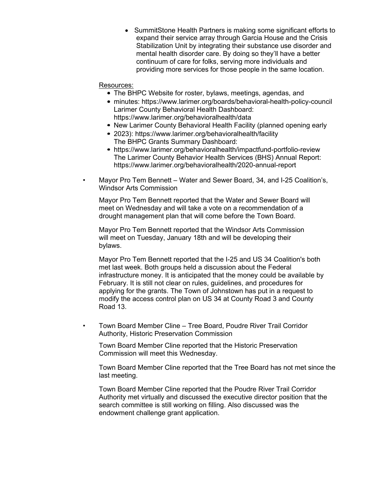• SummitStone Health Partners is making some significant efforts to expand their service array through Garcia House and the Crisis Stabilization Unit by integrating their substance use disorder and mental health disorder care. By doing so they'll have a better continuum of care for folks, serving more individuals and providing more services for those people in the same location.

#### Resources:

- The BHPC Website for roster, bylaws, meetings, agendas, and
- minutes:<https://www.larimer.org/boards/behavioral-health-policy-council> Larimer County Behavioral Health Dashboard: <https://www.larimer.org/behavioralhealth/data>
- New Larimer County Behavioral Health Facility (planned opening early
- 2023):<https://www.larimer.org/behavioralhealth/facility> The BHPC Grants Summary Dashboard:
- <https://www.larimer.org/behavioralhealth/impactfund-portfolio-review> The Larimer County Behavior Health Services (BHS) Annual Report: <https://www.larimer.org/behavioralhealth/2020-annual-report>
- Mayor Pro Tem Bennett Water and Sewer Board, 34, and I-25 Coalition's, Windsor Arts Commission

Mayor Pro Tem Bennett reported that the Water and Sewer Board will meet on Wednesday and will take a vote on a recommendation of a drought management plan that will come before the Town Board.

Mayor Pro Tem Bennett reported that the Windsor Arts Commission will meet on Tuesday, January 18th and will be developing their bylaws.

Mayor Pro Tem Bennett reported that the I-25 and US 34 Coalition's both met last week. Both groups held a discussion about the Federal infrastructure money. It is anticipated that the money could be available by February. It is still not clear on rules, guidelines, and procedures for applying for the grants. The Town of Johnstown has put in a request to modify the access control plan on US 34 at County Road 3 and County Road 13.

• Town Board Member Cline – Tree Board, Poudre River Trail Corridor Authority, Historic Preservation Commission

Town Board Member Cline reported that the Historic Preservation Commission will meet this Wednesday.

Town Board Member Cline reported that the Tree Board has not met since the last meeting.

Town Board Member Cline reported that the Poudre River Trail Corridor Authority met virtually and discussed the executive director position that the search committee is still working on filling. Also discussed was the endowment challenge grant application.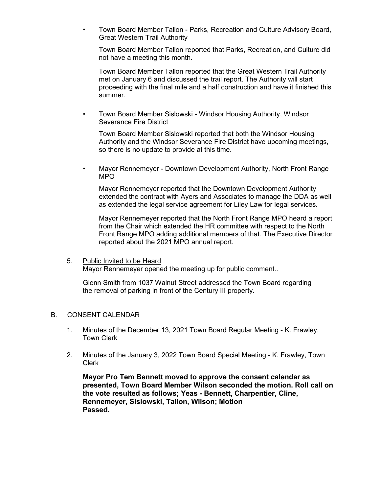• Town Board Member Tallon - Parks, Recreation and Culture Advisory Board, Great Western Trail Authority

Town Board Member Tallon reported that Parks, Recreation, and Culture did not have a meeting this month.

Town Board Member Tallon reported that the Great Western Trail Authority met on January 6 and discussed the trail report. The Authority will start proceeding with the final mile and a half construction and have it finished this summer.

• Town Board Member Sislowski - Windsor Housing Authority, Windsor Severance Fire District

Town Board Member Sislowski reported that both the Windsor Housing Authority and the Windsor Severance Fire District have upcoming meetings, so there is no update to provide at this time.

• Mayor Rennemeyer - Downtown Development Authority, North Front Range MPO

Mayor Rennemeyer reported that the Downtown Development Authority extended the contract with Ayers and Associates to manage the DDA as well as extended the legal service agreement for Liley Law for legal services.

Mayor Rennemeyer reported that the North Front Range MPO heard a report from the Chair which extended the HR committee with respect to the North Front Range MPO adding additional members of that. The Executive Director reported about the 2021 MPO annual report.

# 5. Public Invited to be Heard

Mayor Rennemeyer opened the meeting up for public comment..

Glenn Smith from 1037 Walnut Street addressed the Town Board regarding the removal of parking in front of the Century III property.

### B. CONSENT CALENDAR

- 1. Minutes of the December 13, 2021 Town Board Regular Meeting K. Frawley, Town Clerk
- 2. Minutes of the January 3, 2022 Town Board Special Meeting K. Frawley, Town Clerk

**Mayor Pro Tem Bennett moved to approve the consent calendar as presented, Town Board Member Wilson seconded the motion. Roll call on the vote resulted as follows; Yeas - Bennett, Charpentier, Cline, Rennemeyer, Sislowski, Tallon, Wilson; Motion Passed.**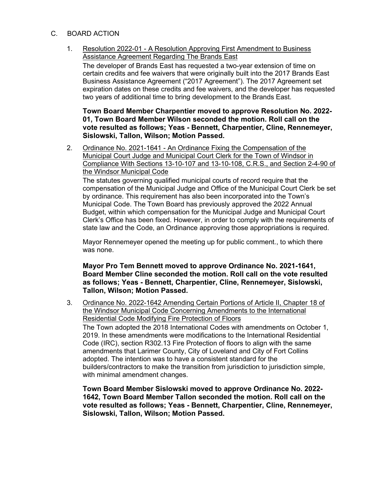- C. BOARD ACTION
	- 1. Resolution 2022-01 A Resolution Approving First Amendment to Business Assistance Agreement Regarding The Brands East

The developer of Brands East has requested a two-year extension of time on certain credits and fee waivers that were originally built into the 2017 Brands East Business Assistance Agreement ("2017 Agreement"). The 2017 Agreement set expiration dates on these credits and fee waivers, and the developer has requested two years of additional time to bring development to the Brands East.

**Town Board Member Charpentier moved to approve Resolution No. 2022- 01, Town Board Member Wilson seconded the motion. Roll call on the vote resulted as follows; Yeas - Bennett, Charpentier, Cline, Rennemeyer, Sislowski, Tallon, Wilson; Motion Passed.**

2. Ordinance No. 2021-1641 - An Ordinance Fixing the Compensation of the Municipal Court Judge and Municipal Court Clerk for the Town of Windsor in Compliance With Sections 13-10-107 and 13-10-108, C.R.S., and Section 2-4-90 of the Windsor Municipal Code

The statutes governing qualified municipal courts of record require that the compensation of the Municipal Judge and Office of the Municipal Court Clerk be set by ordinance. This requirement has also been incorporated into the Town's Municipal Code. The Town Board has previously approved the 2022 Annual Budget, within which compensation for the Municipal Judge and Municipal Court Clerk's Office has been fixed. However, in order to comply with the requirements of state law and the Code, an Ordinance approving those appropriations is required.

Mayor Rennemeyer opened the meeting up for public comment., to which there was none.

**Mayor Pro Tem Bennett moved to approve Ordinance No. 2021-1641, Board Member Cline seconded the motion. Roll call on the vote resulted as follows; Yeas - Bennett, Charpentier, Cline, Rennemeyer, Sislowski, Tallon, Wilson; Motion Passed.**

3. Ordinance No. 2022-1642 Amending Certain Portions of Article II, Chapter 18 of the Windsor Municipal Code Concerning Amendments to the International Residential Code Modifying Fire Protection of Floors The Town adopted the 2018 International Codes with amendments on October 1, 2019. In these amendments were modifications to the International Residential Code (IRC), section R302.13 Fire Protection of floors to align with the same amendments that Larimer County, City of Loveland and City of Fort Collins adopted. The intention was to have a consistent standard for the builders/contractors to make the transition from jurisdiction to jurisdiction simple, with minimal amendment changes.

**Town Board Member Sislowski moved to approve Ordinance No. 2022- 1642, Town Board Member Tallon seconded the motion. Roll call on the vote resulted as follows; Yeas - Bennett, Charpentier, Cline, Rennemeyer, Sislowski, Tallon, Wilson; Motion Passed.**